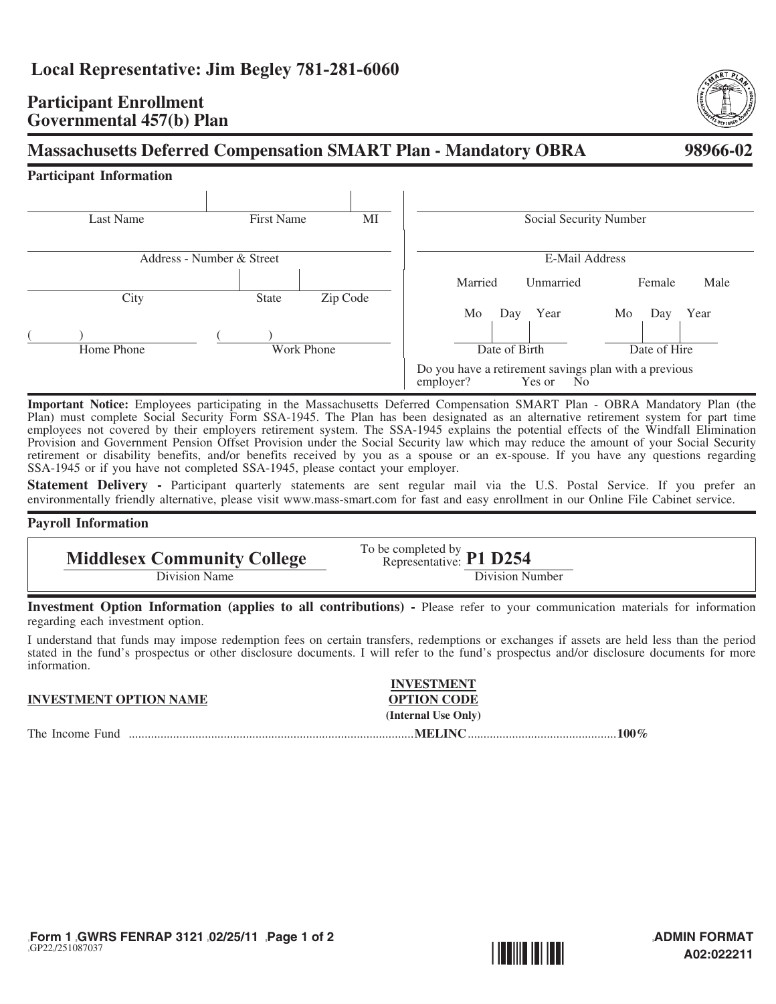## **Participant Enrollment Governmental 457(b) Plan**

# **Massachusetts Deferred Compensation SMART Plan - Mandatory OBRA** 98966-02

## **Participant Information**

| <b>Last Name</b>          |            | <b>First Name</b> |          | MI                    | Social Security Number                                                                         |     |           |    |        |      |
|---------------------------|------------|-------------------|----------|-----------------------|------------------------------------------------------------------------------------------------|-----|-----------|----|--------|------|
| Address - Number & Street |            |                   |          | <b>E-Mail Address</b> |                                                                                                |     |           |    |        |      |
|                           |            |                   |          |                       | Married                                                                                        |     | Unmarried |    | Female | Male |
| City                      |            | <b>State</b>      | Zip Code |                       |                                                                                                |     |           |    |        |      |
|                           |            |                   |          |                       | Mo                                                                                             | Day | Year      | Mo | Day    | Year |
|                           |            |                   |          |                       |                                                                                                |     |           |    |        |      |
| Home Phone                | Work Phone |                   |          |                       | Date of Birth<br>Date of Hire                                                                  |     |           |    |        |      |
|                           |            |                   |          |                       | Do you have a retirement savings plan with a previous<br>employer?<br>Yes or<br>N <sub>0</sub> |     |           |    |        |      |

**Important Notice:** Employees participating in the Massachusetts Deferred Compensation SMART Plan - OBRA Mandatory Plan (the Plan) must complete Social Security Form SSA-1945. The Plan has been designated as an alternative retirement system for part time employees not covered by their employers retirement system. The SSA-1945 explains the potential effects of the Windfall Elimination Provision and Government Pension Offset Provision under the Social Security law which may reduce the amount of your Social Security retirement or disability benefits, and/or benefits received by you as a spouse or an ex-spouse. If you have any questions regarding SSA-1945 or if you have not completed SSA-1945, please contact your employer.

**Statement Delivery -** Participant quarterly statements are sent regular mail via the U.S. Postal Service. If you prefer an environmentally friendly alternative, please visit <www.mass-smart.com> for fast and easy enrollment in our Online File Cabinet service.

### **Payroll Information**

**Middlesex Community College** To be completed by **P1 D254** Division Name Division Number

**Investment Option Information (applies to all contributions) -** Please refer to your communication materials for information regarding each investment option.

I understand that funds may impose redemption fees on certain transfers, redemptions or exchanges if assets are held less than the period stated in the fund's prospectus or other disclosure documents. I will refer to the fund's prospectus and/or disclosure documents for more information.

|                               | <b>INVESTMENT</b>   |  |
|-------------------------------|---------------------|--|
| <b>INVESTMENT OPTION NAME</b> | <b>OPTION CODE</b>  |  |
|                               | (Internal Use Only) |  |
| The Income Fund               | 100 $\%$            |  |